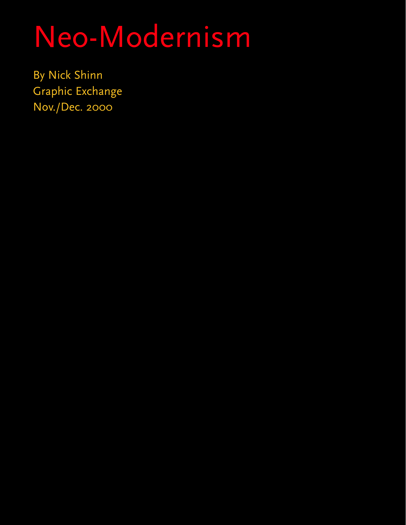# Neo-Modernism

By Nick Shinn Graphic Exchange Nov./Dec. 2000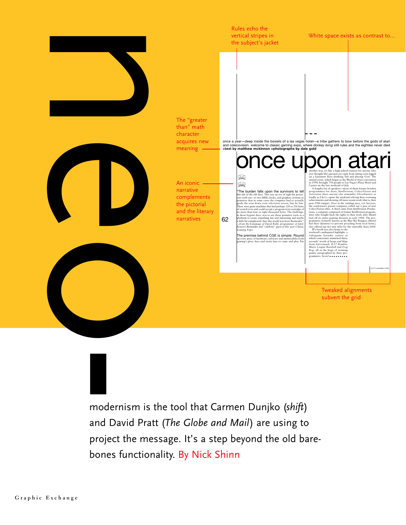

modernism is the tool that Carmen Dunjko (*shift*) and David Pratt (*The Globe and Mail*) are using to project the message. It's a step beyond the old barebones functionality. By Nick Shinn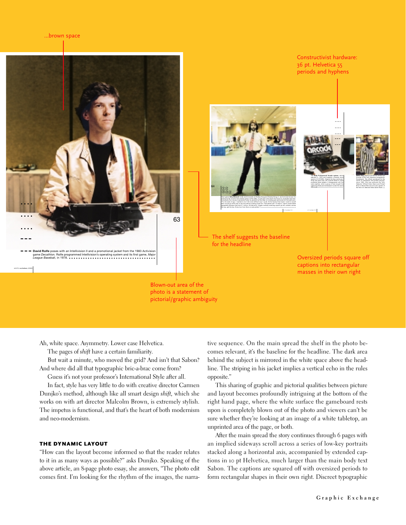

photo is a statement of pictorial/graphic ambiguity

Ah, white space. Asymmetry. Lower case Helvetica.

The pages of *shift* have a certain familiarity.

But wait a minute, who moved the grid? And isn't that Sabon? And where did all that typographic bric-a-brac come from?

Guess it's not your professor's International Style after all.

In fact, style has very little to do with creative director Carmen Dunjko's method, although like all smart design *shift,* which she works on with art director Malcolm Brown, is extremely stylish. The impetus is functional, and that's the heart of both modernism and neo-modernism.

#### THE DYNAMIC LAYOUT

"How can the layout become informed so that the reader relates to it in as many ways as possible?" asks Dunjko. Speaking of the above article, an 8-page photo essay, she answers, "The photo edit comes first. I'm looking for the rhythm of the images, the narrative sequence. On the main spread the shelf in the photo becomes relevant, it's the baseline for the headline. The dark area behind the subject is mirrored in the white space above the headline. The striping in his jacket implies a vertical echo in the rules opposite."

This sharing of graphic and pictorial qualities between picture and layout becomes profoundly intriguing at the bottom of the right hand page, where the white surface the gameboard rests upon is completely blown out of the photo and viewers can't be sure whether they're looking at an image of a white tabletop, an unprinted area of the page, or both.

After the main spread the story continues through 6 pages with an implied sideways scroll across a series of low-key portraits stacked along a horizontal axis, accompanied by extended captions in 10 pt Helvetica, much larger than the main body text Sabon. The captions are squared off with oversized periods to form rectangular shapes in their own right. Discreet typographic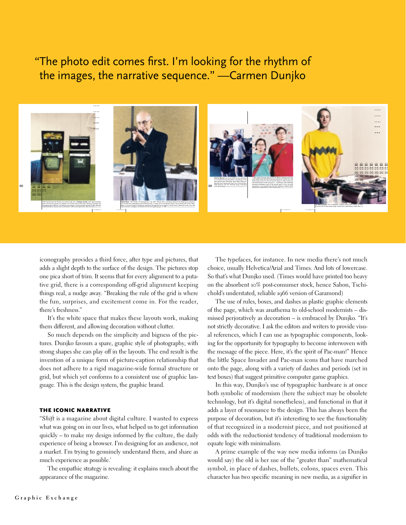### "The photo edit comes first. I'm looking for the rhythm of the images, the narrative sequence." —Carmen Dunjko



iconography provides a third force, after type and pictures, that adds a slight depth to the surface of the design. The pictures stop one pica short of trim. It seems that for every alignment to a putative grid, there is a corresponding off-grid alignment keeping things real, a nudge away. "Breaking the rule of the grid is where the fun, surprises, and excitement come in. For the reader, there's freshness."

It's the white space that makes these layouts work, making them different, and allowing decoration without clutter.

So much depends on the simplicity and bigness of the pictures. Dunjko favours a spare, graphic style of photography, with strong shapes she can play off in the layouts. The end result is the invention of a unique form of picture-caption relationship that does not adhere to a rigid magazine-wide formal structure or grid, but which yet conforms to a consistent use of graphic language. This is the design system, the graphic brand.

#### THE ICONIC NARRATIVE

"*Shift* is a magazine about digital culture. I wanted to express what was going on in our lives, what helped us to get information quickly – to make my design informed by the culture, the daily experience of being a browser. I'm designing for an audience, not a market. I'm trying to genuinely understand them, and share as much experience as possible.'

The empathic strategy is revealing: it explains much about the appearance of the magazine.

The typefaces, for instance. In new media there's not much choice, usually Helvetica/Arial and Times. And lots of lowercase. So that's what Dunjko used. (Times would have printed too heavy on the absorbent 10% post-consumer stock, hence Sabon, Tschichold's understated, reliable 1966 version of Garamond)

The use of rules, boxes, and dashes as plastic graphic elements of the page, which was anathema to old-school modernists – dismissed perjoratively as decoration – is embraced by Dunjko. "It's not strictly decorative. I ask the editors and writers to provide visual references, which I can use as typographic components, looking for the opportunity for typography to become interwoven with the message of the piece. Here, it's the spirit of Pac-man!" Hence the little Space Invader and Pac-man icons that have marched onto the page, along with a variety of dashes and periods (set in text boxes) that suggest primitive computer game graphics.

In this way, Dunjko's use of typographic hardware is at once both symbolic of modernism (here the subject may be obsolete technology, but it's digital nonetheless), and functional in that it adds a layer of resonance to the design. This has always been the purpose of decoration, but it's interesting to see the functionality of that recognized in a modernist piece, and not positioned at odds with the reductionist tendency of traditional modernism to equate logic with minimalism.

A prime example of the way new media informs (as Dunjko would say) the old is her use of the "greater than" mathematical symbol, in place of dashes, bullets, colons, spaces even. This character has two specific meaning in new media, as a signifier in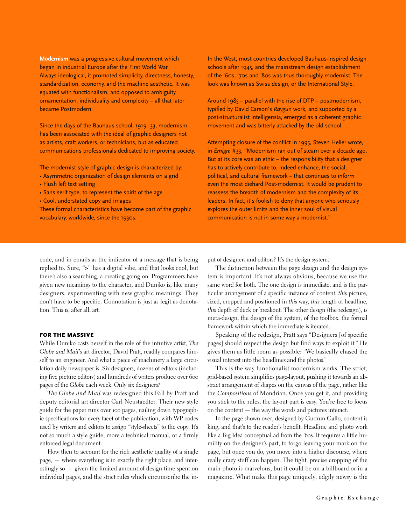**Modernism** was a progressive cultural movement which began in industrial Europe after the First World War. Always ideological, it promoted simplicity, directness, honesty, standardization, economy, and the machine aesthetic. It was equated with functionalism, and opposed to ambiguity, ornamentation, individuality and complexity – all that later became Postmodern.

Since the days of the Bauhaus school, 1919–33, modernism has been associated with the ideal of graphic designers not as artists, craft workers, or technicians, but as educated communications professionals dedicated to improving society.

The modernist style of graphic design is characterized by:

- Asymmetric organization of design elements on a grid
- Flush left text setting
- Sans serif type, to represent the spirit of the age
- Cool, understated copy and images

These formal characteristics have become part of the graphic vocabulary, worldwide, since the 1930s.

code, and in emails as the indicator of a message that is being replied to. Sure, "**>**" has a digital vibe, and that looks cool, but there's also a searching, a creating going on. Programmers have given new meanings to the character, and Dunjko is, like many designers, experimenting with new graphic meanings. They don't have to be specific. Connotation is just as legit as denotation. This is, after all, art.

#### FOR THE MASSIVE

While Dunjko casts herself in the role of the intuitive artist, *The Globe and Mail*'s art director, David Pratt, readily compares himself to an engineer. And what a piece of machinery a large circulation daily newspaper is. Six designers, dozens of editors (including five picture editors) and hundreds of writers produce over 600 pages of the *Globe* each week. Only six designers?

*The Globe and Mail* was redesigned this Fall by Pratt and deputy editorial art director Carl Neustaedter. Their new style guide for the paper runs over 100 pages, nailing down typographic specifications for every facet of the publication, with WP codes used by writers and editors to assign "style-sheets" to the copy. It's not so much a style guide, more a technical manual, or a firmly enforced legal document.

How then to account for the rich aesthetic quality of a single page, — where everything is in exactly the right place, and interestingly so — given the limited amount of design time spent on individual pages, and the strict rules which circumscribe the inIn the West, most countries developed Bauhaus-inspired design schools after 1945, and the mainstream design establishment of the '60s, '70s and '80s was thus thoroughly modernist. The look was known as Swiss design, or the International Style.

Around 1985 – parallel with the rise of DTP – postmodernism, typified by David Carson's *Raygu*n work, and supported by a post-structuralist intelligensia, emerged as a coherent graphic movement and was bitterly attacked by the old school.

Attempting closure of the conflict in 1995, Steven Heller wrote, in *Emigre* #33, "Modernism ran out of steam over a decade ago. But at its core was an ethic  $-$  the responsibility that a designer has to actively contribute to, indeed enhance, the social, political, and cultural framework – that continues to inform even the most diehard Post-modernist. It would be prudent to reassess the breadth of modernism and the complexity of its leaders. In fact, it's foolish to deny that anyone who seriously explores the outer limits and the inner soul of visual communication is not in some way a modernist."

put of designers and editors? It's the design system.

The distinction between the page design and the design system is important. It's not always obvious, because we use the same word for both. The one design is immediate, and is the particular arrangement of a specific instance of content; *this* picture, sized, cropped and positioned in *this* way, *this* length of headline, *this* depth of deck or breakout. The other design (the redesign), is meta-design, the design of the system, of the toolbox, the formal framework within which the immediate is iterated.

Speaking of the redesign, Pratt says "Designers [of specific pages] should respect the design but find ways to exploit it." He gives them as little room as possible: "We basically chased the visual interest into the headlines and the photos."

This is the way functionalist modernism works. The strict, grid-based system simplifies page-layout, pushing it towards an abstract arrangement of shapes on the canvas of the page, rather like the *Compositions* of Mondrian. Once you get it, and providing you stick to the rules, the layout part is easy. You're free to focus on the content — the way the words and pictures interact.

In the page shown over, designed by Gudrun Gallo, content is king, and that's to the reader's benefit. Headline and photo work like a Big Idea conceptual ad from the '60s. It requires a little humility on the designer's part, to forgo leaving your mark on the page, but once you do, you move into a higher discourse, where really crazy stuff can happen. The tight, precise cropping of the main photo is marvelous, but it could be on a billboard or in a magazine. What make this page uniquely, edgily newsy is the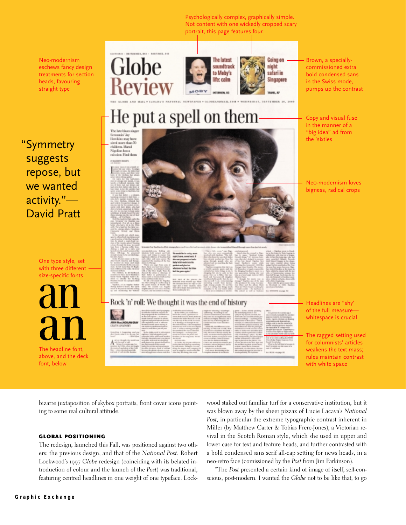Psychologically complex, graphically simple. Not content with one wickedly cropped scary portrait, this page features four.

Neo-modernism eschews fancy design treatments for section heads, favouring straight type





Going on night safari in Singapore Brown, a speciallycommissioned extra bold condensed sans in the Swiss mode, pumps up the contrast

Copy and visual fuse in the manner of a "big idea" ad from the 'sixties

## He put a spell on them

Sereamin' Jay<br>Hawkins may have sized more than 70<br>children, Maral Nigolian has a raission: Find them

"Symmetry suggests repose, but we wanted activity."— David Pratt

> One type style, set with three different size-specific fonts

The headline font, above, and the deck font, below



#### Rock 'n' roll: We thought it was the end of history

Ne0-modernism loves bigness, radical crops

Headlines are "shy' of the full measure whitespace is crucial

The ragged setting used for columnists' articles weakens the text mass; rules maintain contrast with white space

bizarre juxtaposition of skybox portraits, front cover icons pointing to some real cultural attitude.

#### GLOBAL POSITIONING

The redesign, launched this Fall, was positioned against two others: the previous design, and that of the *National Post.* Robert Lockwood's 1997 *Globe* redesign (coinciding with its belated introduction of colour and the launch of the *Post*) was traditional, featuring centred headlines in one weight of one typeface. Lockwood staked out familiar turf for a conservative institution, but it was blown away by the sheer pizzaz of Lucie Lacava's *National Post,* in particular the extreme typographic contrast inherent in Miller (by Matthew Carter & Tobias Frere-Jones), a Victorian revival in the Scotch Roman style, which she used in upper and lower case for text and feature heads, and further contrasted with a bold condensed sans serif all-cap setting for news heads, in a neo-retro face (comissioned by the *Post* from Jim Parkinson).

"The *Post* presented a certain kind of image of itself, self-conscious, post-modern. I wanted the *Globe* not to be like that, to go